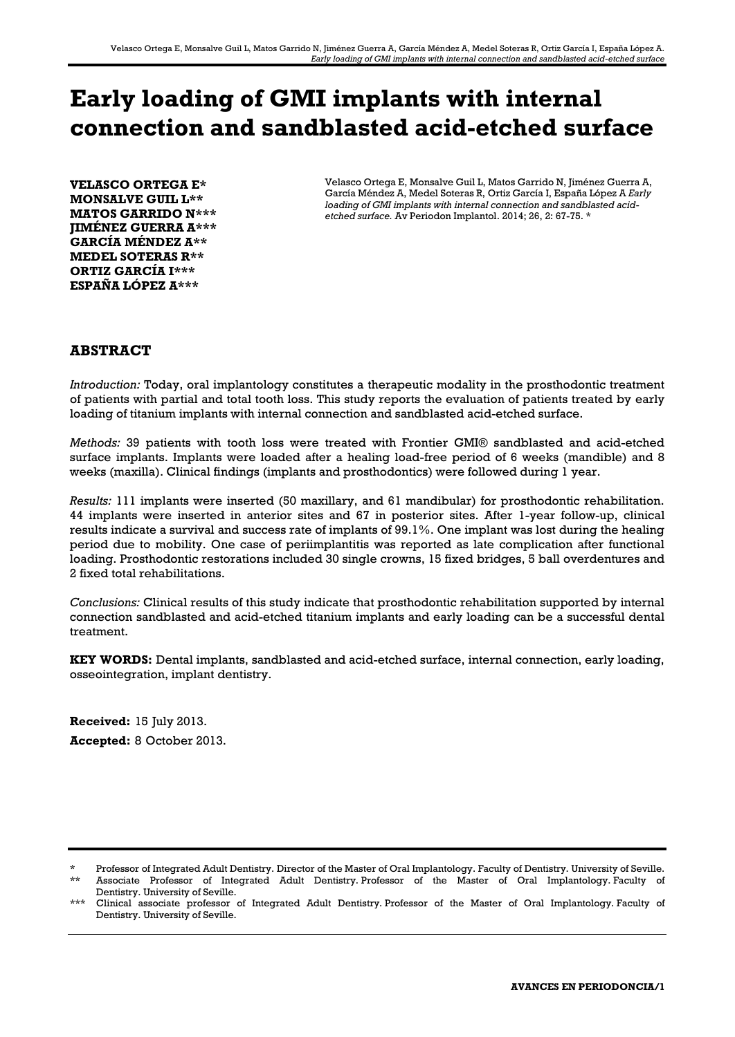# **Early loading of GMI implants with internal connection and sandblasted acid-etched surface**

**VELASCO ORTEGA E\* MONSALVE GUIL L\*\* MATOS GARRIDO N\*\*\* JIMÉNEZ GUERRA A\*\*\* GARCÍA MÉNDEZ A\*\* MEDEL SOTERAS R\*\* ORTIZ GARCÍA I\*\*\* ESPAÑA LÓPEZ A\*\*\***

Velasco Ortega E, Monsalve Guil L, Matos Garrido N, Jiménez Guerra A, García Méndez A, Medel Soteras R, Ortiz García I, España López A *Early loading of GMI implants with internal connection and sandblasted acidetched surface.* Av Periodon Implantol. 2014; 26, 2: 67-75. \*

# **ABSTRACT**

*Introduction:* Today, oral implantology constitutes a therapeutic modality in the prosthodontic treatment of patients with partial and total tooth loss. This study reports the evaluation of patients treated by early loading of titanium implants with internal connection and sandblasted acid-etched surface.

*Methods:* 39 patients with tooth loss were treated with Frontier GMI® sandblasted and acid-etched surface implants. Implants were loaded after a healing load-free period of 6 weeks (mandible) and 8 weeks (maxilla). Clinical findings (implants and prosthodontics) were followed during 1 year.

*Results:* 111 implants were inserted (50 maxillary, and 61 mandibular) for prosthodontic rehabilitation. 44 implants were inserted in anterior sites and 67 in posterior sites. After 1-year follow-up, clinical results indicate a survival and success rate of implants of 99.1%. One implant was lost during the healing period due to mobility. One case of periimplantitis was reported as late complication after functional loading. Prosthodontic restorations included 30 single crowns, 15 fixed bridges, 5 ball overdentures and 2 fixed total rehabilitations.

*Conclusions:* Clinical results of this study indicate that prosthodontic rehabilitation supported by internal connection sandblasted and acid-etched titanium implants and early loading can be a successful dental treatment.

**KEY WORDS:** Dental implants, sandblasted and acid-etched surface, internal connection, early loading, osseointegration, implant dentistry.

**Received:** 15 July 2013. **Accepted:** 8 October 2013.

<sup>\*</sup> Professor of Integrated Adult Dentistry. Director of the Master of Oral Implantology. Faculty of Dentistry. University of Seville. \*\* Associate Professor of Integrated Adult Dentistry. Professor of the Master of Oral Implantology. Faculty of Dentistry. University of Seville.

<sup>\*\*\*</sup> Clinical associate professor of Integrated Adult Dentistry. Professor of the Master of Oral Implantology. Faculty of Dentistry. University of Seville.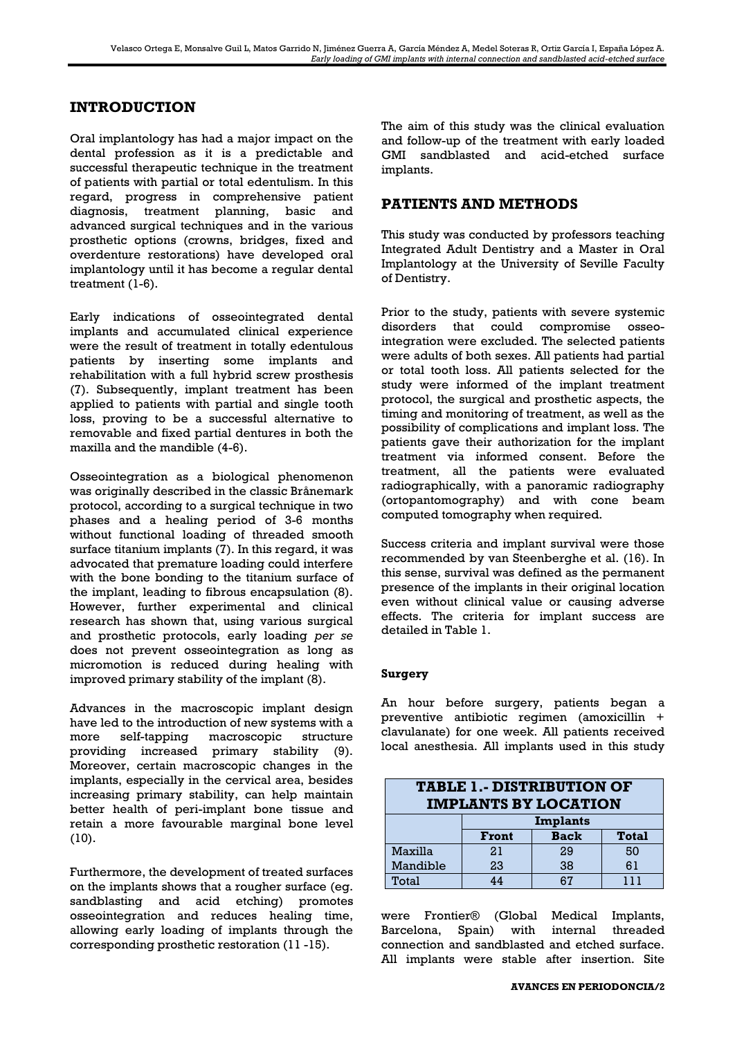# **INTRODUCTION**

Oral implantology has had a major impact on the dental profession as it is a predictable and successful therapeutic technique in the treatment of patients with partial or total edentulism. In this regard, progress in comprehensive patient diagnosis, treatment planning, basic and advanced surgical techniques and in the various prosthetic options (crowns, bridges, fixed and overdenture restorations) have developed oral implantology until it has become a regular dental treatment (1-6).

Early indications of osseointegrated dental implants and accumulated clinical experience were the result of treatment in totally edentulous patients by inserting some implants and rehabilitation with a full hybrid screw prosthesis (7). Subsequently, implant treatment has been applied to patients with partial and single tooth loss, proving to be a successful alternative to removable and fixed partial dentures in both the maxilla and the mandible (4-6).

Osseointegration as a biological phenomenon was originally described in the classic Brånemark protocol, according to a surgical technique in two phases and a healing period of 3-6 months without functional loading of threaded smooth surface titanium implants (7). In this regard, it was advocated that premature loading could interfere with the bone bonding to the titanium surface of the implant, leading to fibrous encapsulation (8). However, further experimental and clinical research has shown that, using various surgical and prosthetic protocols, early loading *per se* does not prevent osseointegration as long as micromotion is reduced during healing with improved primary stability of the implant (8).

Advances in the macroscopic implant design have led to the introduction of new systems with a more self-tapping macroscopic structure providing increased primary stability (9). Moreover, certain macroscopic changes in the implants, especially in the cervical area, besides increasing primary stability, can help maintain better health of peri-implant bone tissue and retain a more favourable marginal bone level (10).

Furthermore, the development of treated surfaces on the implants shows that a rougher surface (eg. sandblasting and acid etching) promotes osseointegration and reduces healing time, allowing early loading of implants through the corresponding prosthetic restoration (11 -15).

The aim of this study was the clinical evaluation and follow-up of the treatment with early loaded GMI sandblasted and acid-etched surface implants.

# **PATIENTS AND METHODS**

This study was conducted by professors teaching Integrated Adult Dentistry and a Master in Oral Implantology at the University of Seville Faculty of Dentistry.

Prior to the study, patients with severe systemic disorders that could compromise osseointegration were excluded. The selected patients were adults of both sexes. All patients had partial or total tooth loss. All patients selected for the study were informed of the implant treatment protocol, the surgical and prosthetic aspects, the timing and monitoring of treatment, as well as the possibility of complications and implant loss. The patients gave their authorization for the implant treatment via informed consent. Before the treatment, all the patients were evaluated radiographically, with a panoramic radiography (ortopantomography) and with cone beam computed tomography when required.

Success criteria and implant survival were those recommended by van Steenberghe et al. (16). In this sense, survival was defined as the permanent presence of the implants in their original location even without clinical value or causing adverse effects. The criteria for implant success are detailed in Table 1.

## **Surgery**

An hour before surgery, patients began a preventive antibiotic regimen (amoxicillin + clavulanate) for one week. All patients received local anesthesia. All implants used in this study

| <b>TABLE 1.- DISTRIBUTION OF</b><br><b>IMPLANTS BY LOCATION</b> |          |             |              |  |  |  |
|-----------------------------------------------------------------|----------|-------------|--------------|--|--|--|
|                                                                 | Implants |             |              |  |  |  |
|                                                                 | Front    | <b>Back</b> | <b>Total</b> |  |  |  |
| Maxilla                                                         | 21       | 29          | 50           |  |  |  |
| Mandible                                                        | 23       | 38          | 61           |  |  |  |
| Total                                                           | 44       | 67          | 111          |  |  |  |

were Frontier® (Global Medical Implants, Barcelona, Spain) with internal threaded connection and sandblasted and etched surface. All implants were stable after insertion. Site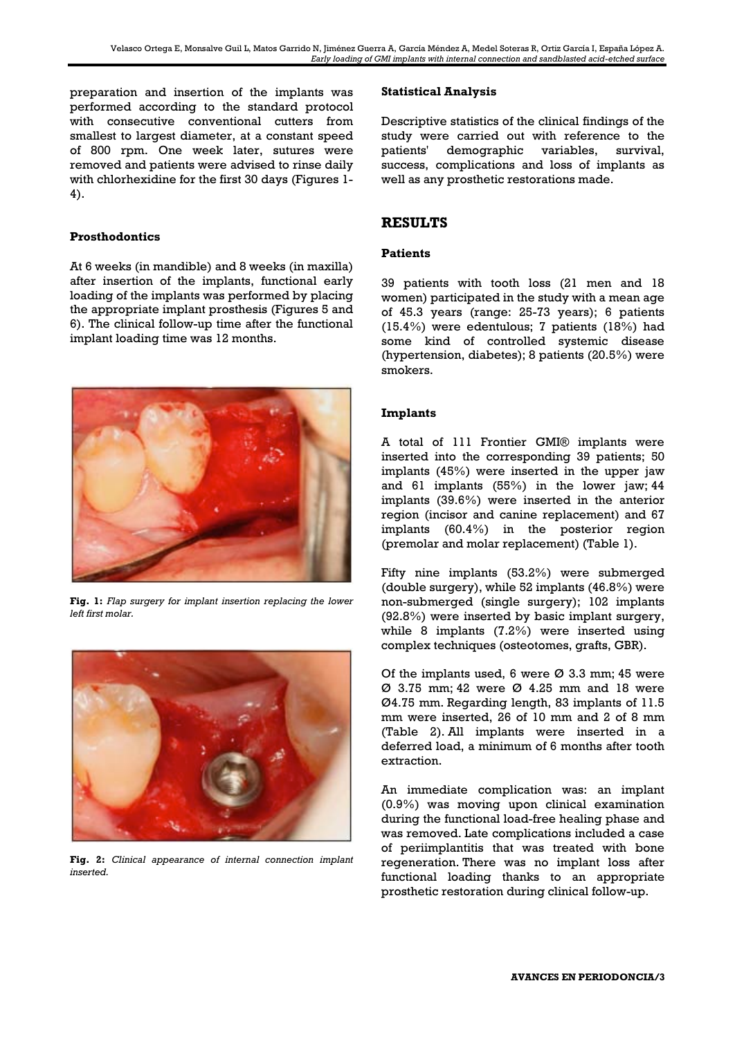preparation and insertion of the implants was performed according to the standard protocol with consecutive conventional cutters from smallest to largest diameter, at a constant speed of 800 rpm. One week later, sutures were removed and patients were advised to rinse daily with chlorhexidine for the first 30 days (Figures 1- 4).

## **Prosthodontics**

At 6 weeks (in mandible) and 8 weeks (in maxilla) after insertion of the implants, functional early loading of the implants was performed by placing the appropriate implant prosthesis (Figures 5 and 6). The clinical follow-up time after the functional implant loading time was 12 months.



**Fig. 1:** *Flap surgery for implant insertion replacing the lower left first molar.*



**Fig. 2:** *Clinical appearance of internal connection implant inserted.*

#### **Statistical Analysis**

Descriptive statistics of the clinical findings of the study were carried out with reference to the patients' demographic variables, survival, success, complications and loss of implants as well as any prosthetic restorations made.

## **RESULTS**

#### **Patients**

39 patients with tooth loss (21 men and 18 women) participated in the study with a mean age of 45.3 years (range: 25-73 years); 6 patients (15.4%) were edentulous; 7 patients (18%) had some kind of controlled systemic disease (hypertension, diabetes); 8 patients (20.5%) were smokers.

#### **Implants**

A total of 111 Frontier GMI® implants were inserted into the corresponding 39 patients; 50 implants (45%) were inserted in the upper jaw and 61 implants (55%) in the lower jaw; 44 implants (39.6%) were inserted in the anterior region (incisor and canine replacement) and 67 implants (60.4%) in the posterior region (premolar and molar replacement) (Table 1).

Fifty nine implants (53.2%) were submerged (double surgery), while 52 implants (46.8%) were non-submerged (single surgery); 102 implants (92.8%) were inserted by basic implant surgery, while 8 implants (7.2%) were inserted using complex techniques (osteotomes, grafts, GBR).

Of the implants used, 6 were  $\varnothing$  3.3 mm; 45 were Ø 3.75 mm; 42 were Ø 4.25 mm and 18 were Ø4.75 mm. Regarding length, 83 implants of 11.5 mm were inserted, 26 of 10 mm and 2 of 8 mm (Table 2). All implants were inserted in a deferred load, a minimum of 6 months after tooth extraction.

An immediate complication was: an implant (0.9%) was moving upon clinical examination during the functional load-free healing phase and was removed. Late complications included a case of periimplantitis that was treated with bone regeneration. There was no implant loss after functional loading thanks to an appropriate prosthetic restoration during clinical follow-up.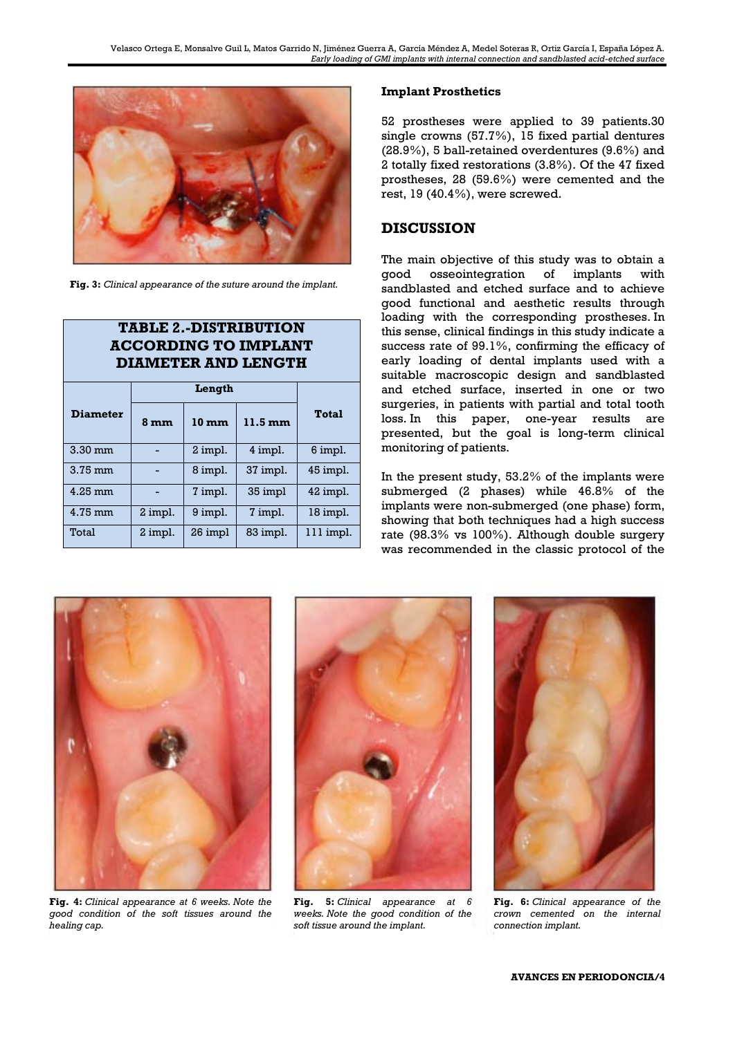

**Fig. 3:** *Clinical appearance of the suture around the implant.*

**TABLE 2.-DISTRIBUTION** 

| <b>ACCORDING TO IMPLANT</b><br><b>DIAMETER AND LENGTH</b> |         |                 |                   |              |  |
|-----------------------------------------------------------|---------|-----------------|-------------------|--------------|--|
|                                                           | Length  |                 |                   |              |  |
| <b>Diameter</b>                                           | 8 mm    | $10 \text{ mm}$ | $11.5 \text{ mm}$ | <b>Total</b> |  |
| $3.30$ mm                                                 |         | 2 impl.         | 4 impl.           | 6 impl.      |  |
| 3.75 mm                                                   |         | 8 impl.         | 37 impl.          | 45 impl.     |  |
| 4.25 mm                                                   |         | 7 impl.         | 35 impl           | 42 impl.     |  |
| 4.75 mm                                                   | 2 impl. | 9 impl.         | 7 impl.           | 18 impl.     |  |
| Total                                                     | 2 impl. | 26 impl         | 83 impl.          | 111 impl.    |  |

#### **Implant Prosthetics**

52 prostheses were applied to 39 patients.30 single crowns (57.7%), 15 fixed partial dentures (28.9%), 5 ball-retained overdentures (9.6%) and 2 totally fixed restorations (3.8%). Of the 47 fixed prostheses, 28 (59.6%) were cemented and the rest, 19 (40.4%), were screwed.

## **DISCUSSION**

The main objective of this study was to obtain a good osseointegration of implants with sandblasted and etched surface and to achieve good functional and aesthetic results through loading with the corresponding prostheses. In this sense, clinical findings in this study indicate a success rate of 99.1%, confirming the efficacy of early loading of dental implants used with a suitable macroscopic design and sandblasted and etched surface, inserted in one or two surgeries, in patients with partial and total tooth loss. In this paper, one-year results are presented, but the goal is long-term clinical monitoring of patients.

In the present study, 53.2% of the implants were submerged (2 phases) while 46.8% of the implants were non-submerged (one phase) form, showing that both techniques had a high success rate (98.3% vs 100%). Although double surgery was recommended in the classic protocol of the



**Fig. 4:** *Clinical appearance at 6 weeks. Note the good condition of the soft tissues around the healing cap.*



**Fig. 5:** *Clinical appearance at 6 weeks. Note the good condition of the soft tissue around the implant.*



**Fig. 6:** *Clinical appearance of the crown cemented on the internal connection implant.*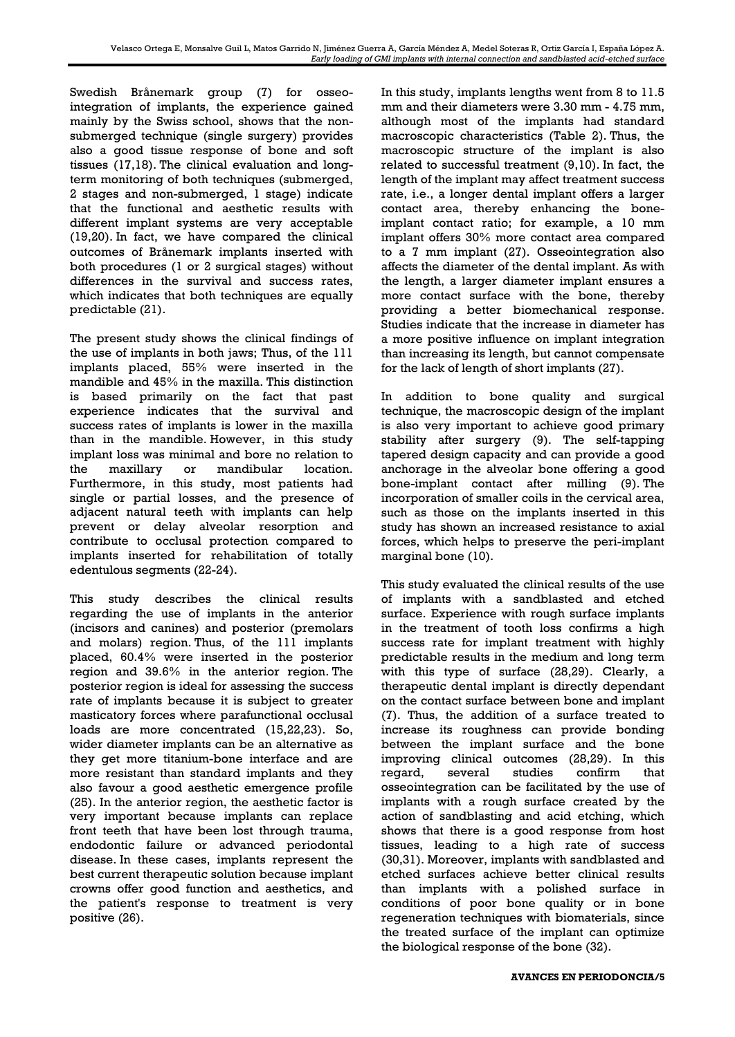Swedish Brånemark group (7) for osseointegration of implants, the experience gained mainly by the Swiss school, shows that the nonsubmerged technique (single surgery) provides also a good tissue response of bone and soft tissues (17,18). The clinical evaluation and longterm monitoring of both techniques (submerged, 2 stages and non-submerged, 1 stage) indicate that the functional and aesthetic results with different implant systems are very acceptable (19,20). In fact, we have compared the clinical outcomes of Brånemark implants inserted with both procedures (1 or 2 surgical stages) without differences in the survival and success rates, which indicates that both techniques are equally predictable (21).

The present study shows the clinical findings of the use of implants in both jaws; Thus, of the 111 implants placed, 55% were inserted in the mandible and 45% in the maxilla. This distinction is based primarily on the fact that past experience indicates that the survival and success rates of implants is lower in the maxilla than in the mandible. However, in this study implant loss was minimal and bore no relation to the maxillary or mandibular location. Furthermore, in this study, most patients had single or partial losses, and the presence of adjacent natural teeth with implants can help prevent or delay alveolar resorption and contribute to occlusal protection compared to implants inserted for rehabilitation of totally edentulous segments (22-24).

This study describes the clinical results regarding the use of implants in the anterior (incisors and canines) and posterior (premolars and molars) region. Thus, of the 111 implants placed, 60.4% were inserted in the posterior region and 39.6% in the anterior region. The posterior region is ideal for assessing the success rate of implants because it is subject to greater masticatory forces where parafunctional occlusal loads are more concentrated (15,22,23). So, wider diameter implants can be an alternative as they get more titanium-bone interface and are more resistant than standard implants and they also favour a good aesthetic emergence profile (25). In the anterior region, the aesthetic factor is very important because implants can replace front teeth that have been lost through trauma, endodontic failure or advanced periodontal disease. In these cases, implants represent the best current therapeutic solution because implant crowns offer good function and aesthetics, and the patient's response to treatment is very positive (26).

In this study, implants lengths went from 8 to 11.5 mm and their diameters were 3.30 mm - 4.75 mm, although most of the implants had standard macroscopic characteristics (Table 2). Thus, the macroscopic structure of the implant is also related to successful treatment (9,10). In fact, the length of the implant may affect treatment success rate, i.e., a longer dental implant offers a larger contact area, thereby enhancing the boneimplant contact ratio; for example, a 10 mm implant offers 30% more contact area compared to a 7 mm implant (27). Osseointegration also affects the diameter of the dental implant. As with the length, a larger diameter implant ensures a more contact surface with the bone, thereby providing a better biomechanical response. Studies indicate that the increase in diameter has a more positive influence on implant integration than increasing its length, but cannot compensate for the lack of length of short implants (27).

In addition to bone quality and surgical technique, the macroscopic design of the implant is also very important to achieve good primary stability after surgery (9). The self-tapping tapered design capacity and can provide a good anchorage in the alveolar bone offering a good bone-implant contact after milling (9). The incorporation of smaller coils in the cervical area, such as those on the implants inserted in this study has shown an increased resistance to axial forces, which helps to preserve the peri-implant marginal bone (10).

This study evaluated the clinical results of the use of implants with a sandblasted and etched surface. Experience with rough surface implants in the treatment of tooth loss confirms a high success rate for implant treatment with highly predictable results in the medium and long term with this type of surface (28,29). Clearly, a therapeutic dental implant is directly dependant on the contact surface between bone and implant (7). Thus, the addition of a surface treated to increase its roughness can provide bonding between the implant surface and the bone improving clinical outcomes (28,29). In this regard, several studies confirm that osseointegration can be facilitated by the use of implants with a rough surface created by the action of sandblasting and acid etching, which shows that there is a good response from host tissues, leading to a high rate of success (30,31). Moreover, implants with sandblasted and etched surfaces achieve better clinical results than implants with a polished surface in conditions of poor bone quality or in bone regeneration techniques with biomaterials, since the treated surface of the implant can optimize the biological response of the bone (32).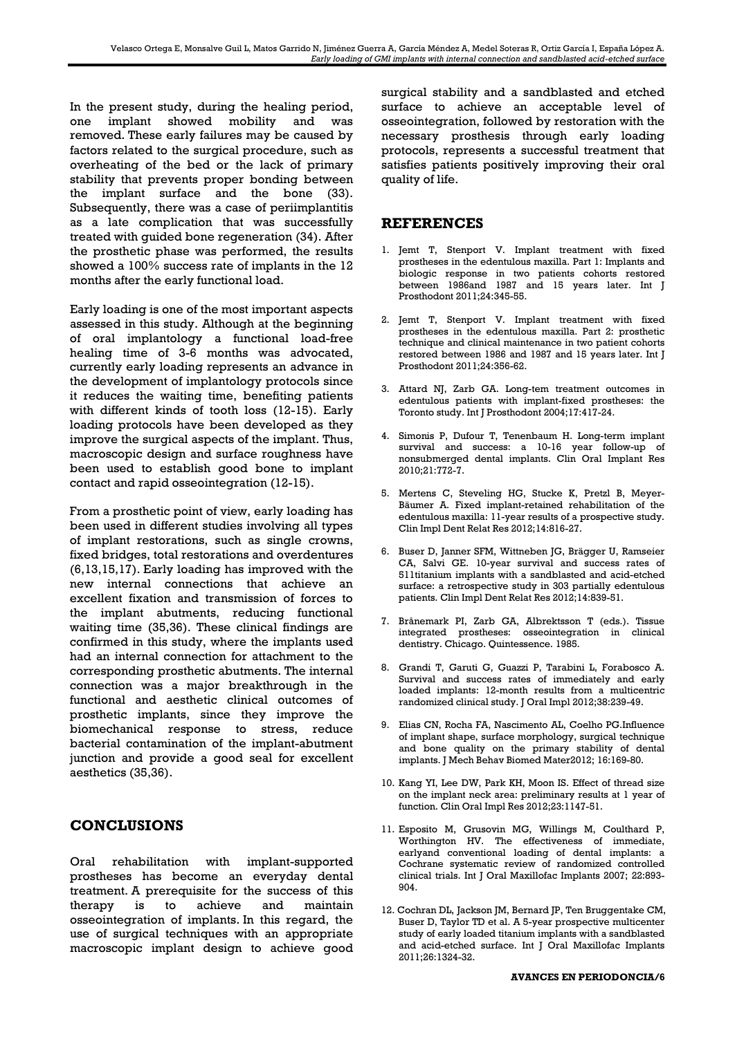In the present study, during the healing period, one implant showed mobility and was removed. These early failures may be caused by factors related to the surgical procedure, such as overheating of the bed or the lack of primary stability that prevents proper bonding between the implant surface and the bone (33). Subsequently, there was a case of periimplantitis as a late complication that was successfully treated with guided bone regeneration (34). After the prosthetic phase was performed, the results showed a 100% success rate of implants in the 12 months after the early functional load.

Early loading is one of the most important aspects assessed in this study. Although at the beginning of oral implantology a functional load-free healing time of 3-6 months was advocated, currently early loading represents an advance in the development of implantology protocols since it reduces the waiting time, benefiting patients with different kinds of tooth loss (12-15). Early loading protocols have been developed as they improve the surgical aspects of the implant. Thus, macroscopic design and surface roughness have been used to establish good bone to implant contact and rapid osseointegration (12-15).

From a prosthetic point of view, early loading has been used in different studies involving all types of implant restorations, such as single crowns, fixed bridges, total restorations and overdentures (6,13,15,17). Early loading has improved with the new internal connections that achieve an excellent fixation and transmission of forces to the implant abutments, reducing functional waiting time (35,36). These clinical findings are confirmed in this study, where the implants used had an internal connection for attachment to the corresponding prosthetic abutments. The internal connection was a major breakthrough in the functional and aesthetic clinical outcomes of prosthetic implants, since they improve the biomechanical response to stress, reduce bacterial contamination of the implant-abutment junction and provide a good seal for excellent aesthetics (35,36).

# **CONCLUSIONS**

Oral rehabilitation with implant-supported prostheses has become an everyday dental treatment. A prerequisite for the success of this therapy is to achieve and maintain osseointegration of implants. In this regard, the use of surgical techniques with an appropriate macroscopic implant design to achieve good surgical stability and a sandblasted and etched surface to achieve an acceptable level of osseointegration, followed by restoration with the necessary prosthesis through early loading protocols, represents a successful treatment that satisfies patients positively improving their oral quality of life.

# **REFERENCES**

- 1. Jemt T, Stenport V. Implant treatment with fixed prostheses in the edentulous maxilla. Part 1: Implants and biologic response in two patients cohorts restored between 1986and 1987 and 15 years later. Int J Prosthodont 2011;24:345-55.
- 2. Jemt T, Stenport V. Implant treatment with fixed prostheses in the edentulous maxilla. Part 2: prosthetic technique and clinical maintenance in two patient cohorts restored between 1986 and 1987 and 15 years later. Int J Prosthodont 2011;24:356-62.
- 3. Attard NJ, Zarb GA. Long-tem treatment outcomes in edentulous patients with implant-fixed prostheses: the Toronto study. Int J Prosthodont 2004;17:417-24.
- 4. Simonis P, Dufour T, Tenenbaum H. Long-term implant survival and success: a 10-16 year follow-up of nonsubmerged dental implants. Clin Oral Implant Res 2010;21:772-7.
- 5. Mertens C, Steveling HG, Stucke K, Pretzl B, Meyer-Bäumer A. Fixed implant-retained rehabilitation of the edentulous maxilla: 11-year results of a prospective study. Clin Impl Dent Relat Res 2012;14:816-27.
- 6. Buser D, Janner SFM, Wittneben JG, Brägger U, Ramseier CA, Salvi GE. 10-year survival and success rates of 511titanium implants with a sandblasted and acid-etched surface: a retrospective study in 303 partially edentulous patients. Clin Impl Dent Relat Res 2012;14:839-51.
- 7. Brånemark PI, Zarb GA, Albrektsson T (eds.). Tissue integrated prostheses: osseointegration in clinical dentistry. Chicago. Quintessence. 1985.
- 8. Grandi T, Garuti G, Guazzi P, Tarabini L, Forabosco A. Survival and success rates of immediately and early loaded implants: 12-month results from a multicentric randomized clinical study. J Oral Impl 2012;38:239-49.
- 9. Elias CN, Rocha FA, Nascimento AL, Coelho PG.Influence of implant shape, surface morphology, surgical technique and bone quality on the primary stability of dental implants. J Mech Behav Biomed Mater2012; 16:169-80.
- 10. Kang YI, Lee DW, Park KH, Moon IS. Effect of thread size on the implant neck area: preliminary results at 1 year of function. Clin Oral Impl Res 2012;23:1147-51.
- 11. Esposito M, Grusovin MG, Willings M, Coulthard P, Worthington HV. The effectiveness of immediate, earlyand conventional loading of dental implants: a Cochrane systematic review of randomized controlled clinical trials. Int J Oral Maxillofac Implants 2007; 22:893- 904.
- 12. Cochran DL, Jackson JM, Bernard JP, Ten Bruggentake CM, Buser D, Taylor TD et al. A 5-year prospective multicenter study of early loaded titanium implants with a sandblasted and acid-etched surface. Int J Oral Maxillofac Implants 2011;26:1324-32.